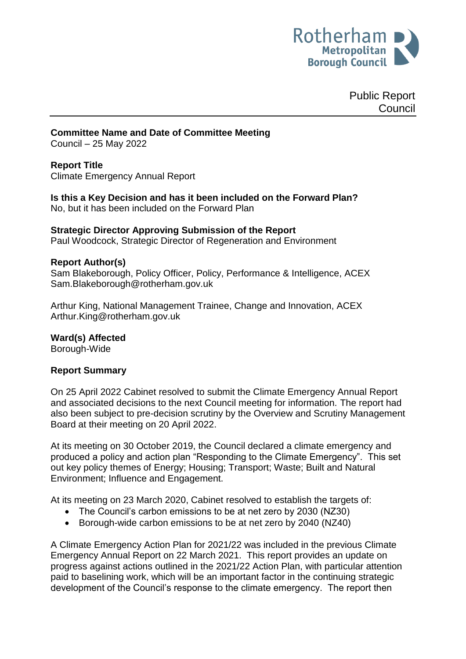

Public Report Council

**Committee Name and Date of Committee Meeting** Council – 25 May 2022

#### **Report Title**

Climate Emergency Annual Report

**Is this a Key Decision and has it been included on the Forward Plan?**  No, but it has been included on the Forward Plan

## **Strategic Director Approving Submission of the Report**

Paul Woodcock, Strategic Director of Regeneration and Environment

## **Report Author(s)**

<span id="page-0-0"></span>Sam Blakeborough, Policy Officer, Policy, Performance & Intelligence, ACEX Sam.Blakeborough@rotherham.gov.uk

Arthur King, National Management Trainee, Change and Innovation, ACEX Arthur.King@rotherham.gov.uk

#### **Ward(s) Affected**

Borough-Wide

## **Report Summary**

On 25 April 2022 Cabinet resolved to submit the Climate Emergency Annual Report and associated decisions to the next Council meeting for information. The report had also been subject to pre-decision scrutiny by the Overview and Scrutiny Management Board at their meeting on 20 April 2022.

At its meeting on 30 October 2019, the Council declared a climate emergency and produced a policy and action plan "Responding to the Climate Emergency". This set out key policy themes of Energy; Housing; Transport; Waste; Built and Natural Environment; Influence and Engagement.

At its meeting on 23 March 2020, Cabinet resolved to establish the targets of:

- The Council's carbon emissions to be at net zero by 2030 (NZ30)
- Borough-wide carbon emissions to be at net zero by 2040 (NZ40)

A Climate Emergency Action Plan for 2021/22 was included in the previous Climate Emergency Annual Report on 22 March 2021. This report provides an update on progress against actions outlined in the 2021/22 Action Plan, with particular attention paid to baselining work, which will be an important factor in the continuing strategic development of the Council's response to the climate emergency. The report then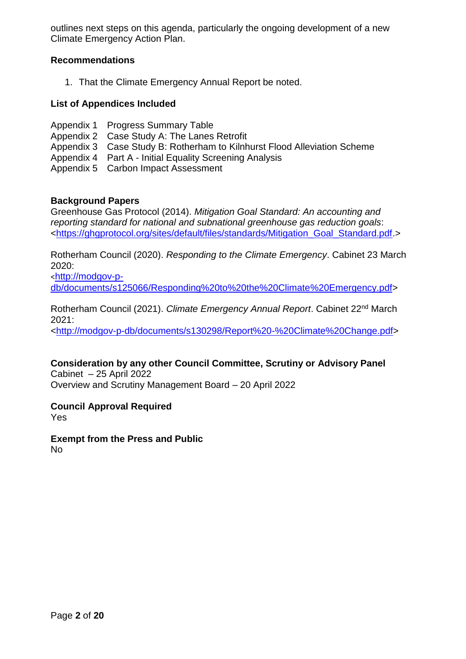outlines next steps on this agenda, particularly the ongoing development of a new Climate Emergency Action Plan.

## **Recommendations**

1. That the Climate Emergency Annual Report be noted.

## **List of Appendices Included**

- Appendix 1 Progress Summary Table
- Appendix 2 Case Study A: The Lanes Retrofit
- Appendix 3 Case Study B: Rotherham to Kilnhurst Flood Alleviation Scheme
- Appendix 4 Part A Initial Equality Screening Analysis
- Appendix 5 Carbon Impact Assessment

## **Background Papers**

Greenhouse Gas Protocol (2014). *Mitigation Goal Standard: An accounting and reporting standard for national and subnational greenhouse gas reduction goals*: [<https://ghgprotocol.org/sites/default/files/standards/Mitigation\\_Goal\\_Standard.pdf.](https://ghgprotocol.org/sites/default/files/standards/Mitigation_Goal_Standard.pdf)>

Rotherham Council (2020). *Responding to the Climate Emergency*. Cabinet 23 March 2020:

<[http://modgov-p](http://modgov-p-db/documents/s125066/Responding%20to%20the%20Climate%20Emergency.pdf)[db/documents/s125066/Responding%20to%20the%20Climate%20Emergency.pdf>](http://modgov-p-db/documents/s125066/Responding%20to%20the%20Climate%20Emergency.pdf)

Rotherham Council (2021). *Climate Emergency Annual Report*. Cabinet 22nd March 2021:

[<http://modgov-p-db/documents/s130298/Report%20-%20Climate%20Change.pdf>](http://modgov-p-db/documents/s130298/Report%20-%20Climate%20Change.pdf)

# **Consideration by any other Council Committee, Scrutiny or Advisory Panel**

Cabinet – 25 April 2022 Overview and Scrutiny Management Board – 20 April 2022

**Council Approval Required**

Yes

**Exempt from the Press and Public** No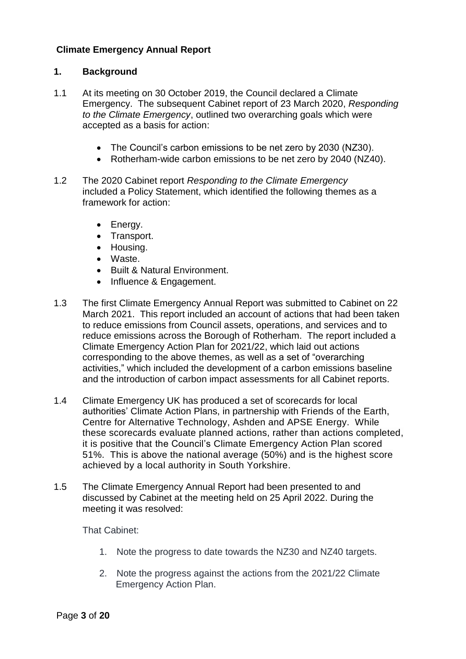## **Climate Emergency Annual Report**

## **1. Background**

- 1.1 At its meeting on 30 October 2019, the Council declared a Climate Emergency. The subsequent Cabinet report of 23 March 2020, *Responding to the Climate Emergency*, outlined two overarching goals which were accepted as a basis for action:
	- The Council's carbon emissions to be net zero by 2030 (NZ30).
	- Rotherham-wide carbon emissions to be net zero by 2040 (NZ40).
- 1.2 The 2020 Cabinet report *Responding to the Climate Emergency* included a Policy Statement, which identified the following themes as a framework for action:
	- Energy.
	- Transport.
	- Housing.
	- Waste.
	- Built & Natural Environment.
	- Influence & Engagement.
- 1.3 The first Climate Emergency Annual Report was submitted to Cabinet on 22 March 2021. This report included an account of actions that had been taken to reduce emissions from Council assets, operations, and services and to reduce emissions across the Borough of Rotherham. The report included a Climate Emergency Action Plan for 2021/22, which laid out actions corresponding to the above themes, as well as a set of "overarching activities," which included the development of a carbon emissions baseline and the introduction of carbon impact assessments for all Cabinet reports.
- 1.4 Climate Emergency UK has produced a set of scorecards for local authorities' Climate Action Plans, in partnership with Friends of the Earth, Centre for Alternative Technology, Ashden and APSE Energy. While these scorecards evaluate planned actions, rather than actions completed, it is positive that the Council's Climate Emergency Action Plan scored 51%. This is above the national average (50%) and is the highest score achieved by a local authority in South Yorkshire.
- 1.5 The Climate Emergency Annual Report had been presented to and discussed by Cabinet at the meeting held on 25 April 2022. During the meeting it was resolved:

That Cabinet:

- 1. Note the progress to date towards the NZ30 and NZ40 targets.
- 2. Note the progress against the actions from the 2021/22 Climate Emergency Action Plan.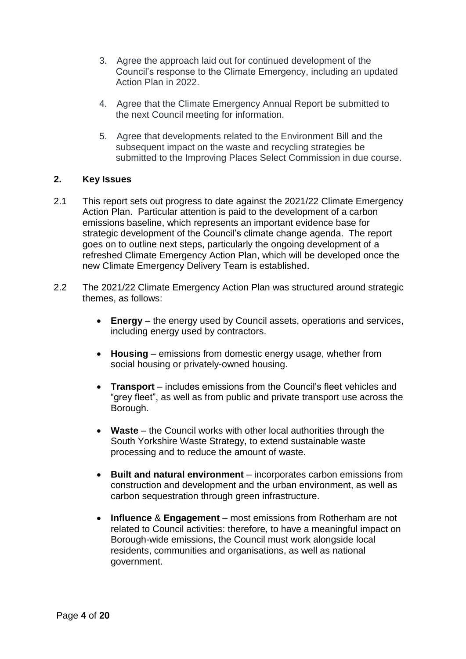- 3. Agree the approach laid out for continued development of the Council's response to the Climate Emergency, including an updated Action Plan in 2022.
- 4. Agree that the Climate Emergency Annual Report be submitted to the next Council meeting for information.
- 5. Agree that developments related to the Environment Bill and the subsequent impact on the waste and recycling strategies be submitted to the Improving Places Select Commission in due course.

## **2. Key Issues**

- 2.1 This report sets out progress to date against the 2021/22 Climate Emergency Action Plan. Particular attention is paid to the development of a carbon emissions baseline, which represents an important evidence base for strategic development of the Council's climate change agenda. The report goes on to outline next steps, particularly the ongoing development of a refreshed Climate Emergency Action Plan, which will be developed once the new Climate Emergency Delivery Team is established.
- 2.2 The 2021/22 Climate Emergency Action Plan was structured around strategic themes, as follows:
	- **Energy**  the energy used by Council assets, operations and services, including energy used by contractors.
	- **Housing** emissions from domestic energy usage, whether from social housing or privately-owned housing.
	- **Transport** includes emissions from the Council's fleet vehicles and "grey fleet", as well as from public and private transport use across the Borough.
	- **Waste** the Council works with other local authorities through the South Yorkshire Waste Strategy, to extend sustainable waste processing and to reduce the amount of waste.
	- **Built and natural environment** incorporates carbon emissions from construction and development and the urban environment, as well as carbon sequestration through green infrastructure.
	- **Influence** & **Engagement** most emissions from Rotherham are not related to Council activities: therefore, to have a meaningful impact on Borough-wide emissions, the Council must work alongside local residents, communities and organisations, as well as national government.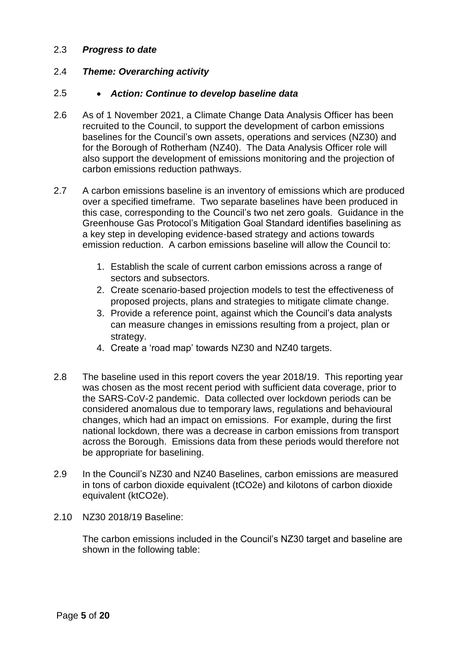## 2.3 *Progress to date*

## 2.4 *Theme: Overarching activity*

#### 2.5 *Action: Continue to develop baseline data*

- 2.6 As of 1 November 2021, a Climate Change Data Analysis Officer has been recruited to the Council, to support the development of carbon emissions baselines for the Council's own assets, operations and services (NZ30) and for the Borough of Rotherham (NZ40). The Data Analysis Officer role will also support the development of emissions monitoring and the projection of carbon emissions reduction pathways.
- 2.7 A carbon emissions baseline is an inventory of emissions which are produced over a specified timeframe. Two separate baselines have been produced in this case, corresponding to the Council's two net zero goals. Guidance in the Greenhouse Gas Protocol's Mitigation Goal Standard identifies baselining as a key step in developing evidence-based strategy and actions towards emission reduction. A carbon emissions baseline will allow the Council to:
	- 1. Establish the scale of current carbon emissions across a range of sectors and subsectors.
	- 2. Create scenario-based projection models to test the effectiveness of proposed projects, plans and strategies to mitigate climate change.
	- 3. Provide a reference point, against which the Council's data analysts can measure changes in emissions resulting from a project, plan or strategy.
	- 4. Create a 'road map' towards NZ30 and NZ40 targets.
- 2.8 The baseline used in this report covers the year 2018/19. This reporting year was chosen as the most recent period with sufficient data coverage, prior to the SARS-CoV-2 pandemic. Data collected over lockdown periods can be considered anomalous due to temporary laws, regulations and behavioural changes, which had an impact on emissions. For example, during the first national lockdown, there was a decrease in carbon emissions from transport across the Borough. Emissions data from these periods would therefore not be appropriate for baselining.
- 2.9 In the Council's NZ30 and NZ40 Baselines, carbon emissions are measured in tons of carbon dioxide equivalent (tCO2e) and kilotons of carbon dioxide equivalent (ktCO2e).
- 2.10 NZ30 2018/19 Baseline:

The carbon emissions included in the Council's NZ30 target and baseline are shown in the following table: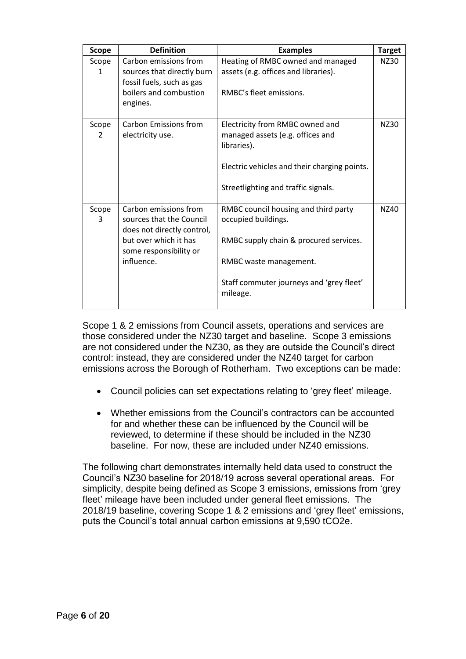| <b>Scope</b>          | <b>Definition</b><br><b>Examples</b>                                                                                                                                                                                                                                                                                                        |                                                                                                                                                                           | <b>Target</b> |
|-----------------------|---------------------------------------------------------------------------------------------------------------------------------------------------------------------------------------------------------------------------------------------------------------------------------------------------------------------------------------------|---------------------------------------------------------------------------------------------------------------------------------------------------------------------------|---------------|
| Scope<br>$\mathbf{1}$ | Carbon emissions from<br>sources that directly burn<br>fossil fuels, such as gas<br>boilers and combustion<br>engines.                                                                                                                                                                                                                      | Heating of RMBC owned and managed<br>assets (e.g. offices and libraries).<br>RMBC's fleet emissions.                                                                      |               |
| Scope<br>2            | Carbon Emissions from<br>electricity use.                                                                                                                                                                                                                                                                                                   | Electricity from RMBC owned and<br>managed assets (e.g. offices and<br>libraries).<br>Electric vehicles and their charging points.<br>Streetlighting and traffic signals. | NZ30          |
| Scope<br>3            | Carbon emissions from<br>RMBC council housing and third party<br>sources that the Council<br>occupied buildings.<br>does not directly control,<br>but over which it has<br>RMBC supply chain & procured services.<br>some responsibility or<br>influence.<br>RMBC waste management.<br>Staff commuter journeys and 'grey fleet'<br>mileage. |                                                                                                                                                                           | NZ40          |

Scope 1 & 2 emissions from Council assets, operations and services are those considered under the NZ30 target and baseline. Scope 3 emissions are not considered under the NZ30, as they are outside the Council's direct control: instead, they are considered under the NZ40 target for carbon emissions across the Borough of Rotherham. Two exceptions can be made:

- Council policies can set expectations relating to 'grey fleet' mileage.
- Whether emissions from the Council's contractors can be accounted for and whether these can be influenced by the Council will be reviewed, to determine if these should be included in the NZ30 baseline. For now, these are included under NZ40 emissions.

The following chart demonstrates internally held data used to construct the Council's NZ30 baseline for 2018/19 across several operational areas. For simplicity, despite being defined as Scope 3 emissions, emissions from 'grey fleet' mileage have been included under general fleet emissions. The 2018/19 baseline, covering Scope 1 & 2 emissions and 'grey fleet' emissions, puts the Council's total annual carbon emissions at 9,590 tCO2e.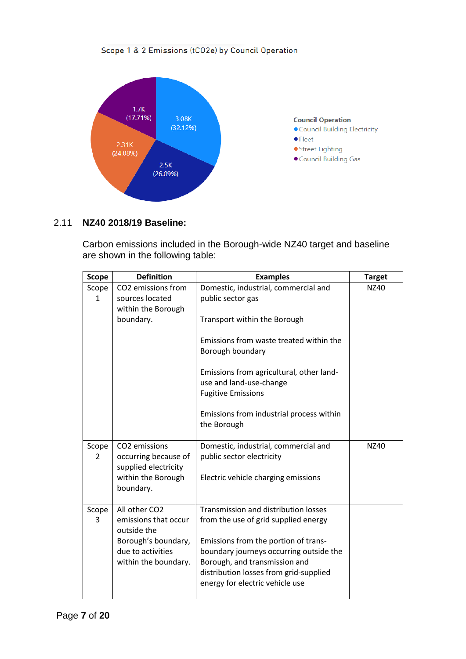#### Scope 1 & 2 Emissions (tCO2e) by Council Operation



## 2.11 **NZ40 2018/19 Baseline:**

Carbon emissions included in the Borough-wide NZ40 target and baseline are shown in the following table:

| <b>Scope</b> | <b>Definition</b>                                                         | <b>Examples</b>                                                                                  | <b>Target</b> |
|--------------|---------------------------------------------------------------------------|--------------------------------------------------------------------------------------------------|---------------|
| Scope        | CO2 emissions from                                                        | Domestic, industrial, commercial and                                                             | NZ40          |
| 1            | sources located<br>within the Borough                                     | public sector gas                                                                                |               |
|              | boundary.                                                                 | Transport within the Borough                                                                     |               |
|              |                                                                           | Emissions from waste treated within the<br>Borough boundary                                      |               |
|              |                                                                           | Emissions from agricultural, other land-<br>use and land-use-change<br><b>Fugitive Emissions</b> |               |
|              |                                                                           | Emissions from industrial process within<br>the Borough                                          |               |
| Scope<br>2   | CO <sub>2</sub> emissions<br>occurring because of<br>supplied electricity | Domestic, industrial, commercial and<br>public sector electricity                                | <b>NZ40</b>   |
|              | within the Borough<br>boundary.                                           | Electric vehicle charging emissions                                                              |               |
| Scope        | All other CO2                                                             | Transmission and distribution losses                                                             |               |
| 3            | emissions that occur<br>outside the                                       | from the use of grid supplied energy                                                             |               |
|              | Borough's boundary,                                                       | Emissions from the portion of trans-                                                             |               |
|              | due to activities<br>within the boundary.                                 | boundary journeys occurring outside the<br>Borough, and transmission and                         |               |
|              |                                                                           | distribution losses from grid-supplied<br>energy for electric vehicle use                        |               |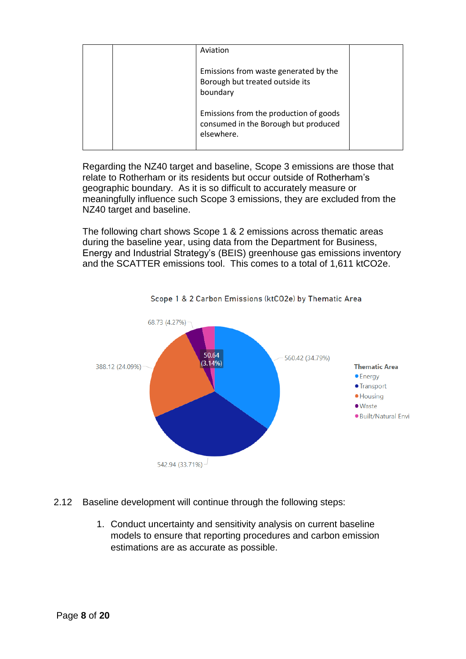| Aviation                                                                                     |  |
|----------------------------------------------------------------------------------------------|--|
| Emissions from waste generated by the<br>Borough but treated outside its<br>boundary         |  |
| Emissions from the production of goods<br>consumed in the Borough but produced<br>elsewhere. |  |

Regarding the NZ40 target and baseline, Scope 3 emissions are those that relate to Rotherham or its residents but occur outside of Rotherham's geographic boundary. As it is so difficult to accurately measure or meaningfully influence such Scope 3 emissions, they are excluded from the NZ40 target and baseline.

The following chart shows Scope 1 & 2 emissions across thematic areas during the baseline year, using data from the Department for Business, Energy and Industrial Strategy's (BEIS) greenhouse gas emissions inventory and the SCATTER emissions tool. This comes to a total of 1,611 ktCO2e.



Scope 1 & 2 Carbon Emissions (ktCO2e) by Thematic Area

- 2.12 Baseline development will continue through the following steps:
	- 1. Conduct uncertainty and sensitivity analysis on current baseline models to ensure that reporting procedures and carbon emission estimations are as accurate as possible.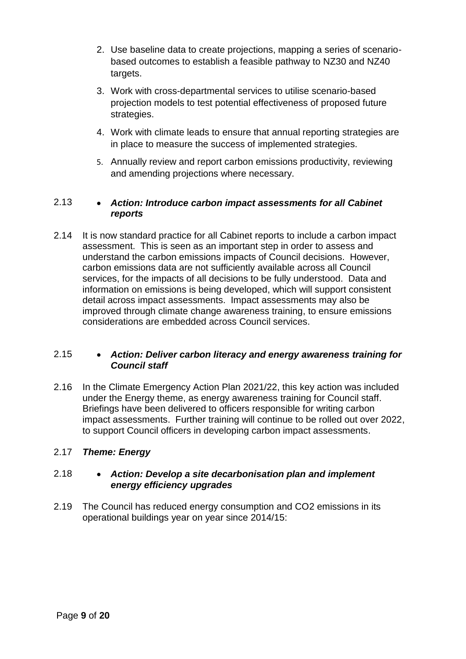- 2. Use baseline data to create projections, mapping a series of scenariobased outcomes to establish a feasible pathway to NZ30 and NZ40 targets.
- 3. Work with cross-departmental services to utilise scenario-based projection models to test potential effectiveness of proposed future strategies.
- 4. Work with climate leads to ensure that annual reporting strategies are in place to measure the success of implemented strategies.
- 5. Annually review and report carbon emissions productivity, reviewing and amending projections where necessary.

# 2.13 *Action: Introduce carbon impact assessments for all Cabinet reports*

2.14 It is now standard practice for all Cabinet reports to include a carbon impact assessment. This is seen as an important step in order to assess and understand the carbon emissions impacts of Council decisions. However, carbon emissions data are not sufficiently available across all Council services, for the impacts of all decisions to be fully understood. Data and information on emissions is being developed, which will support consistent detail across impact assessments. Impact assessments may also be improved through climate change awareness training, to ensure emissions considerations are embedded across Council services.

## 2.15 *Action: Deliver carbon literacy and energy awareness training for Council staff*

2.16 In the Climate Emergency Action Plan 2021/22, this key action was included under the Energy theme, as energy awareness training for Council staff. Briefings have been delivered to officers responsible for writing carbon impact assessments. Further training will continue to be rolled out over 2022, to support Council officers in developing carbon impact assessments.

# 2.17 *Theme: Energy*

## 2.18 *Action: Develop a site decarbonisation plan and implement energy efficiency upgrades*

2.19 The Council has reduced energy consumption and CO2 emissions in its operational buildings year on year since 2014/15: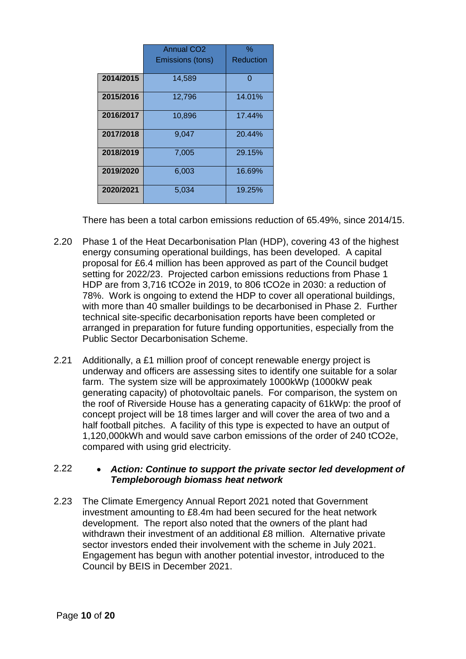|           | <b>Annual CO2</b> | %         |
|-----------|-------------------|-----------|
|           | Emissions (tons)  | Reduction |
| 2014/2015 | 14,589            | ი         |
| 2015/2016 | 12,796            | 14.01%    |
| 2016/2017 | 10,896            | 17.44%    |
| 2017/2018 | 9,047             | 20.44%    |
| 2018/2019 | 7,005             | 29.15%    |
| 2019/2020 | 6,003             | 16.69%    |
| 2020/2021 | 5,034             | 19.25%    |

There has been a total carbon emissions reduction of 65.49%, since 2014/15.

- 2.20 Phase 1 of the Heat Decarbonisation Plan (HDP), covering 43 of the highest energy consuming operational buildings, has been developed. A capital proposal for £6.4 million has been approved as part of the Council budget setting for 2022/23. Projected carbon emissions reductions from Phase 1 HDP are from 3,716 tCO2e in 2019, to 806 tCO2e in 2030: a reduction of 78%. Work is ongoing to extend the HDP to cover all operational buildings, with more than 40 smaller buildings to be decarbonised in Phase 2. Further technical site-specific decarbonisation reports have been completed or arranged in preparation for future funding opportunities, especially from the Public Sector Decarbonisation Scheme.
- 2.21 Additionally, a £1 million proof of concept renewable energy project is underway and officers are assessing sites to identify one suitable for a solar farm. The system size will be approximately 1000kWp (1000kW peak generating capacity) of photovoltaic panels. For comparison, the system on the roof of Riverside House has a generating capacity of 61kWp: the proof of concept project will be 18 times larger and will cover the area of two and a half football pitches. A facility of this type is expected to have an output of 1,120,000kWh and would save carbon emissions of the order of 240 tCO2e, compared with using grid electricity.

## 2.22 *Action: Continue to support the private sector led development of Templeborough biomass heat network*

2.23 The Climate Emergency Annual Report 2021 noted that Government investment amounting to £8.4m had been secured for the heat network development. The report also noted that the owners of the plant had withdrawn their investment of an additional £8 million. Alternative private sector investors ended their involvement with the scheme in July 2021. Engagement has begun with another potential investor, introduced to the Council by BEIS in December 2021.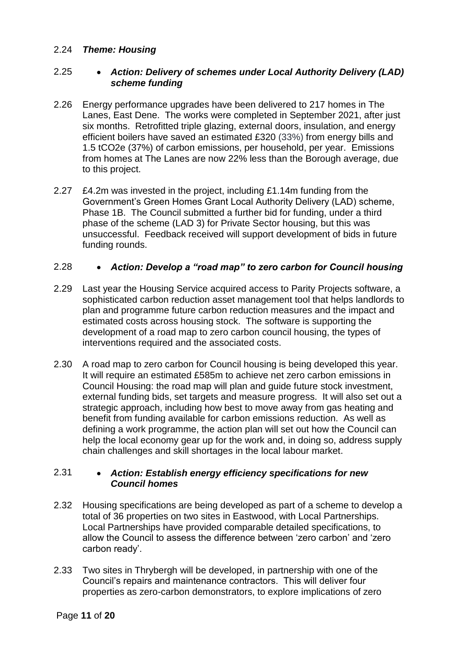## 2.24 *Theme: Housing*

## 2.25 *Action: Delivery of schemes under Local Authority Delivery (LAD) scheme funding*

- 2.26 Energy performance upgrades have been delivered to 217 homes in The Lanes, East Dene. The works were completed in September 2021, after just six months. Retrofitted triple glazing, external doors, insulation, and energy efficient boilers have saved an estimated £320 (33%) from energy bills and 1.5 tCO2e (37%) of carbon emissions, per household, per year. Emissions from homes at The Lanes are now 22% less than the Borough average, due to this project.
- 2.27 £4.2m was invested in the project, including £1.14m funding from the Government's Green Homes Grant Local Authority Delivery (LAD) scheme, Phase 1B. The Council submitted a further bid for funding, under a third phase of the scheme (LAD 3) for Private Sector housing, but this was unsuccessful. Feedback received will support development of bids in future funding rounds.

## 2.28 *Action: Develop a "road map" to zero carbon for Council housing*

- 2.29 Last year the Housing Service acquired access to Parity Projects software, a sophisticated carbon reduction asset management tool that helps landlords to plan and programme future carbon reduction measures and the impact and estimated costs across housing stock. The software is supporting the development of a road map to zero carbon council housing, the types of interventions required and the associated costs.
- 2.30 A road map to zero carbon for Council housing is being developed this year. It will require an estimated £585m to achieve net zero carbon emissions in Council Housing: the road map will plan and guide future stock investment, external funding bids, set targets and measure progress. It will also set out a strategic approach, including how best to move away from gas heating and benefit from funding available for carbon emissions reduction. As well as defining a work programme, the action plan will set out how the Council can help the local economy gear up for the work and, in doing so, address supply chain challenges and skill shortages in the local labour market.

## 2.31 *Action: Establish energy efficiency specifications for new Council homes*

- 2.32 Housing specifications are being developed as part of a scheme to develop a total of 36 properties on two sites in Eastwood, with Local Partnerships. Local Partnerships have provided comparable detailed specifications, to allow the Council to assess the difference between 'zero carbon' and 'zero carbon ready'.
- 2.33 Two sites in Thrybergh will be developed, in partnership with one of the Council's repairs and maintenance contractors. This will deliver four properties as zero-carbon demonstrators, to explore implications of zero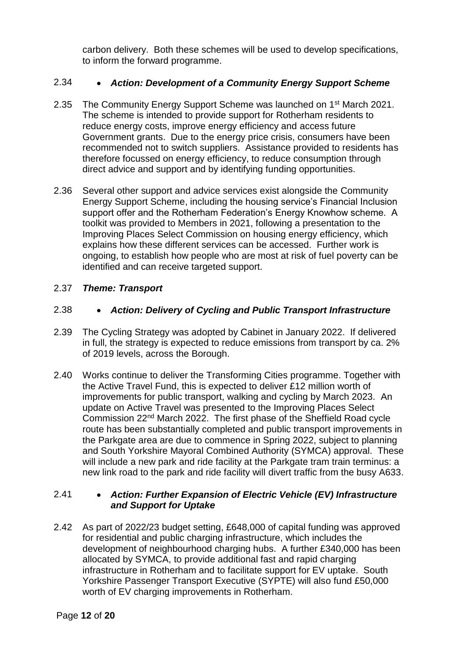carbon delivery. Both these schemes will be used to develop specifications, to inform the forward programme.

# 2.34 *Action: Development of a Community Energy Support Scheme*

- 2.35 The Community Energy Support Scheme was launched on 1<sup>st</sup> March 2021. The scheme is intended to provide support for Rotherham residents to reduce energy costs, improve energy efficiency and access future Government grants. Due to the energy price crisis, consumers have been recommended not to switch suppliers. Assistance provided to residents has therefore focussed on energy efficiency, to reduce consumption through direct advice and support and by identifying funding opportunities.
- 2.36 Several other support and advice services exist alongside the Community Energy Support Scheme, including the housing service's Financial Inclusion support offer and the Rotherham Federation's Energy Knowhow scheme. A toolkit was provided to Members in 2021, following a presentation to the Improving Places Select Commission on housing energy efficiency, which explains how these different services can be accessed. Further work is ongoing, to establish how people who are most at risk of fuel poverty can be identified and can receive targeted support.

# 2.37 *Theme: Transport*

# 2.38 *Action: Delivery of Cycling and Public Transport Infrastructure*

- 2.39 The Cycling Strategy was adopted by Cabinet in January 2022. If delivered in full, the strategy is expected to reduce emissions from transport by ca. 2% of 2019 levels, across the Borough.
- 2.40 Works continue to deliver the Transforming Cities programme. Together with the Active Travel Fund, this is expected to deliver £12 million worth of improvements for public transport, walking and cycling by March 2023. An update on Active Travel was presented to the Improving Places Select Commission 22nd March 2022. The first phase of the Sheffield Road cycle route has been substantially completed and public transport improvements in the Parkgate area are due to commence in Spring 2022, subject to planning and South Yorkshire Mayoral Combined Authority (SYMCA) approval. These will include a new park and ride facility at the Parkgate tram train terminus: a new link road to the park and ride facility will divert traffic from the busy A633.

# 2.41 *Action: Further Expansion of Electric Vehicle (EV) Infrastructure and Support for Uptake*

2.42 As part of 2022/23 budget setting, £648,000 of capital funding was approved for residential and public charging infrastructure, which includes the development of neighbourhood charging hubs. A further £340,000 has been allocated by SYMCA, to provide additional fast and rapid charging infrastructure in Rotherham and to facilitate support for EV uptake. South Yorkshire Passenger Transport Executive (SYPTE) will also fund £50,000 worth of EV charging improvements in Rotherham.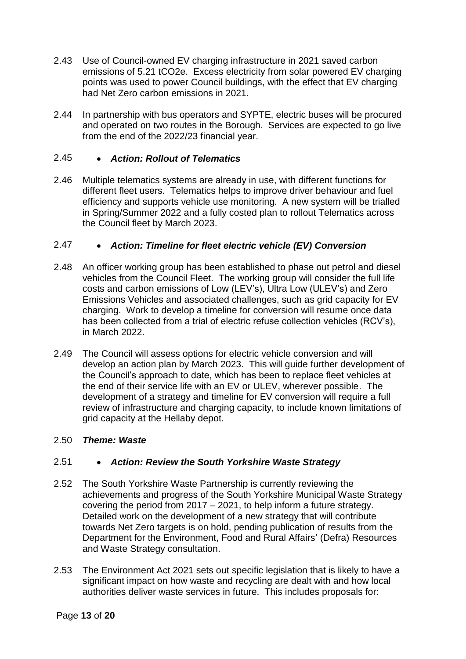- 2.43 Use of Council-owned EV charging infrastructure in 2021 saved carbon emissions of 5.21 tCO2e. Excess electricity from solar powered EV charging points was used to power Council buildings, with the effect that EV charging had Net Zero carbon emissions in 2021.
- 2.44 In partnership with bus operators and SYPTE, electric buses will be procured and operated on two routes in the Borough. Services are expected to go live from the end of the 2022/23 financial year.

## 2.45 *Action: Rollout of Telematics*

2.46 Multiple telematics systems are already in use, with different functions for different fleet users. Telematics helps to improve driver behaviour and fuel efficiency and supports vehicle use monitoring. A new system will be trialled in Spring/Summer 2022 and a fully costed plan to rollout Telematics across the Council fleet by March 2023.

# 2.47 *Action: Timeline for fleet electric vehicle (EV) Conversion*

- 2.48 An officer working group has been established to phase out petrol and diesel vehicles from the Council Fleet. The working group will consider the full life costs and carbon emissions of Low (LEV's), Ultra Low (ULEV's) and Zero Emissions Vehicles and associated challenges, such as grid capacity for EV charging. Work to develop a timeline for conversion will resume once data has been collected from a trial of electric refuse collection vehicles (RCV's), in March 2022.
- 2.49 The Council will assess options for electric vehicle conversion and will develop an action plan by March 2023. This will guide further development of the Council's approach to date, which has been to replace fleet vehicles at the end of their service life with an EV or ULEV, wherever possible. The development of a strategy and timeline for EV conversion will require a full review of infrastructure and charging capacity, to include known limitations of grid capacity at the Hellaby depot.

## 2.50 *Theme: Waste*

## 2.51 *Action: Review the South Yorkshire Waste Strategy*

- 2.52 The South Yorkshire Waste Partnership is currently reviewing the achievements and progress of the South Yorkshire Municipal Waste Strategy covering the period from 2017 – 2021, to help inform a future strategy. Detailed work on the development of a new strategy that will contribute towards Net Zero targets is on hold, pending publication of results from the Department for the Environment, Food and Rural Affairs' (Defra) Resources and Waste Strategy consultation.
- 2.53 The Environment Act 2021 sets out specific legislation that is likely to have a significant impact on how waste and recycling are dealt with and how local authorities deliver waste services in future. This includes proposals for: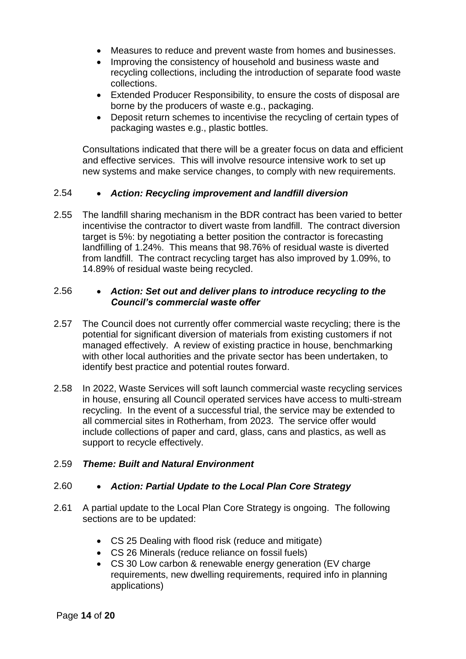- Measures to reduce and prevent waste from homes and businesses.
- Improving the consistency of household and business waste and recycling collections, including the introduction of separate food waste collections.
- Extended Producer Responsibility, to ensure the costs of disposal are borne by the producers of waste e.g., packaging.
- Deposit return schemes to incentivise the recycling of certain types of packaging wastes e.g., plastic bottles.

Consultations indicated that there will be a greater focus on data and efficient and effective services. This will involve resource intensive work to set up new systems and make service changes, to comply with new requirements.

## 2.54 *Action: Recycling improvement and landfill diversion*

2.55 The landfill sharing mechanism in the BDR contract has been varied to better incentivise the contractor to divert waste from landfill. The contract diversion target is 5%: by negotiating a better position the contractor is forecasting landfilling of 1.24%. This means that 98.76% of residual waste is diverted from landfill. The contract recycling target has also improved by 1.09%, to 14.89% of residual waste being recycled.

## 2.56 *Action: Set out and deliver plans to introduce recycling to the Council's commercial waste offer*

- 2.57 The Council does not currently offer commercial waste recycling; there is the potential for significant diversion of materials from existing customers if not managed effectively. A review of existing practice in house, benchmarking with other local authorities and the private sector has been undertaken, to identify best practice and potential routes forward.
- 2.58 In 2022, Waste Services will soft launch commercial waste recycling services in house, ensuring all Council operated services have access to multi-stream recycling. In the event of a successful trial, the service may be extended to all commercial sites in Rotherham, from 2023. The service offer would include collections of paper and card, glass, cans and plastics, as well as support to recycle effectively.

# 2.59 *Theme: Built and Natural Environment*

## 2.60 *Action: Partial Update to the Local Plan Core Strategy*

- 2.61 A partial update to the Local Plan Core Strategy is ongoing. The following sections are to be updated:
	- CS 25 Dealing with flood risk (reduce and mitigate)
	- CS 26 Minerals (reduce reliance on fossil fuels)
	- CS 30 Low carbon & renewable energy generation (EV charge requirements, new dwelling requirements, required info in planning applications)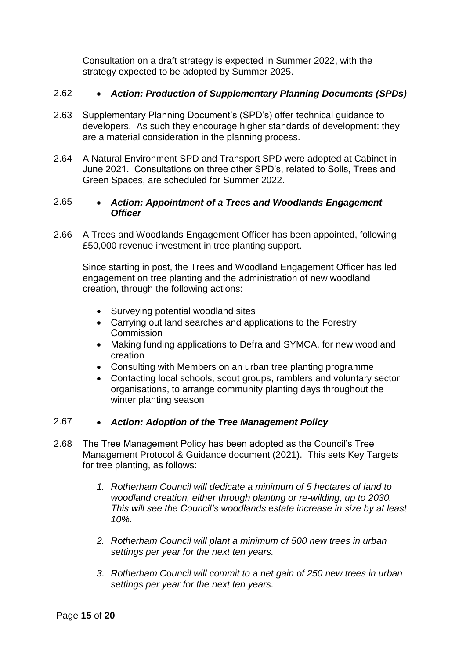Consultation on a draft strategy is expected in Summer 2022, with the strategy expected to be adopted by Summer 2025.

## 2.62 *Action: Production of Supplementary Planning Documents (SPDs)*

- 2.63 Supplementary Planning Document's (SPD's) offer technical guidance to developers. As such they encourage higher standards of development: they are a material consideration in the planning process.
- 2.64 A Natural Environment SPD and Transport SPD were adopted at Cabinet in June 2021. Consultations on three other SPD's, related to Soils, Trees and Green Spaces, are scheduled for Summer 2022.

## 2.65 *Action: Appointment of a Trees and Woodlands Engagement Officer*

2.66 A Trees and Woodlands Engagement Officer has been appointed, following £50,000 revenue investment in tree planting support.

Since starting in post, the Trees and Woodland Engagement Officer has led engagement on tree planting and the administration of new woodland creation, through the following actions:

- Surveying potential woodland sites
- Carrying out land searches and applications to the Forestry **Commission**
- Making funding applications to Defra and SYMCA, for new woodland creation
- Consulting with Members on an urban tree planting programme
- Contacting local schools, scout groups, ramblers and voluntary sector organisations, to arrange community planting days throughout the winter planting season

# 2.67 *Action: Adoption of the Tree Management Policy*

- 2.68 The Tree Management Policy has been adopted as the Council's Tree Management Protocol & Guidance document (2021). This sets Key Targets for tree planting, as follows:
	- *1. Rotherham Council will dedicate a minimum of 5 hectares of land to woodland creation, either through planting or re-wilding, up to 2030. This will see the Council's woodlands estate increase in size by at least 10%.*
	- *2. Rotherham Council will plant a minimum of 500 new trees in urban settings per year for the next ten years.*
	- *3. Rotherham Council will commit to a net gain of 250 new trees in urban settings per year for the next ten years.*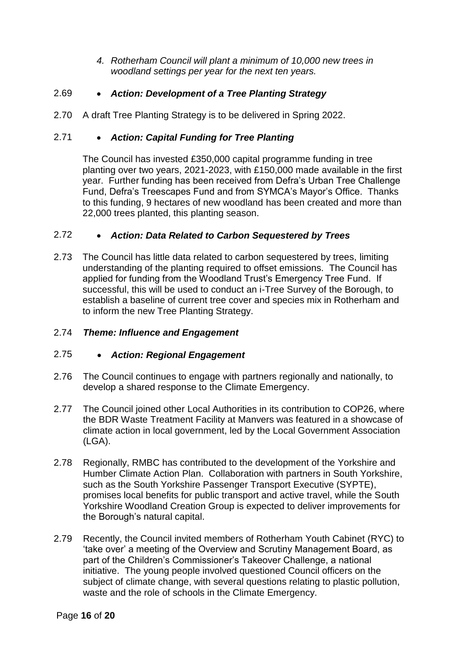*4. Rotherham Council will plant a minimum of 10,000 new trees in woodland settings per year for the next ten years.*

# 2.69 *Action: Development of a Tree Planting Strategy*

2.70 A draft Tree Planting Strategy is to be delivered in Spring 2022.

# 2.71 *Action: Capital Funding for Tree Planting*

The Council has invested £350,000 capital programme funding in tree planting over two years, 2021-2023, with £150,000 made available in the first year. Further funding has been received from Defra's Urban Tree Challenge Fund, Defra's Treescapes Fund and from SYMCA's Mayor's Office. Thanks to this funding, 9 hectares of new woodland has been created and more than 22,000 trees planted, this planting season.

# 2.72 *Action: Data Related to Carbon Sequestered by Trees*

2.73 The Council has little data related to carbon sequestered by trees, limiting understanding of the planting required to offset emissions. The Council has applied for funding from the Woodland Trust's Emergency Tree Fund. If successful, this will be used to conduct an i-Tree Survey of the Borough, to establish a baseline of current tree cover and species mix in Rotherham and to inform the new Tree Planting Strategy.

# 2.74 *Theme: Influence and Engagement*

# 2.75 *Action: Regional Engagement*

- 2.76 The Council continues to engage with partners regionally and nationally, to develop a shared response to the Climate Emergency.
- 2.77 The Council joined other Local Authorities in its contribution to COP26, where the BDR Waste Treatment Facility at Manvers was featured in a showcase of climate action in local government, led by the Local Government Association (LGA).
- 2.78 Regionally, RMBC has contributed to the development of the Yorkshire and Humber Climate Action Plan. Collaboration with partners in South Yorkshire, such as the South Yorkshire Passenger Transport Executive (SYPTE), promises local benefits for public transport and active travel, while the South Yorkshire Woodland Creation Group is expected to deliver improvements for the Borough's natural capital.
- 2.79 Recently, the Council invited members of Rotherham Youth Cabinet (RYC) to 'take over' a meeting of the Overview and Scrutiny Management Board, as part of the Children's Commissioner's Takeover Challenge, a national initiative. The young people involved questioned Council officers on the subject of climate change, with several questions relating to plastic pollution, waste and the role of schools in the Climate Emergency.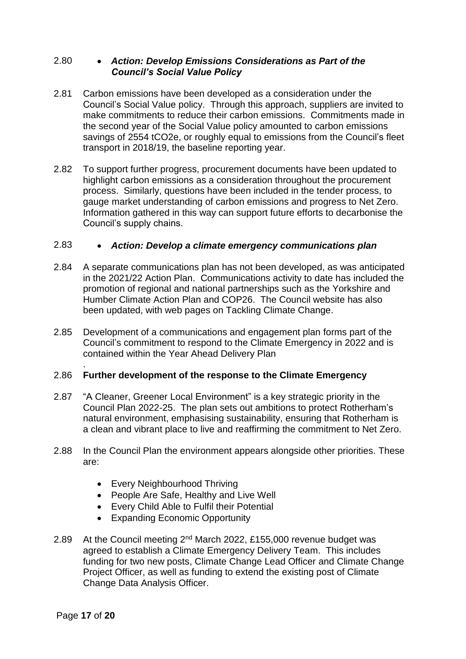## 2.80 *Action: Develop Emissions Considerations as Part of the Council's Social Value Policy*

- 2.81 Carbon emissions have been developed as a consideration under the Council's Social Value policy. Through this approach, suppliers are invited to make commitments to reduce their carbon emissions. Commitments made in the second year of the Social Value policy amounted to carbon emissions savings of 2554 tCO2e, or roughly equal to emissions from the Council's fleet transport in 2018/19, the baseline reporting year.
- 2.82 To support further progress, procurement documents have been updated to highlight carbon emissions as a consideration throughout the procurement process. Similarly, questions have been included in the tender process, to gauge market understanding of carbon emissions and progress to Net Zero. Information gathered in this way can support future efforts to decarbonise the Council's supply chains.

## 2.83 *Action: Develop a climate emergency communications plan*

- 2.84 A separate communications plan has not been developed, as was anticipated in the 2021/22 Action Plan. Communications activity to date has included the promotion of regional and national partnerships such as the Yorkshire and Humber Climate Action Plan and COP26. The Council website has also been updated, with web pages on Tackling Climate Change.
- 2.85 Development of a communications and engagement plan forms part of the Council's commitment to respond to the Climate Emergency in 2022 and is contained within the Year Ahead Delivery Plan

#### . 2.86 **Further development of the response to the Climate Emergency**

- 2.87 "A Cleaner, Greener Local Environment" is a key strategic priority in the Council Plan 2022-25. The plan sets out ambitions to protect Rotherham's natural environment, emphasising sustainability, ensuring that Rotherham is a clean and vibrant place to live and reaffirming the commitment to Net Zero.
- 2.88 In the Council Plan the environment appears alongside other priorities. These are:
	- Every Neighbourhood Thriving
	- People Are Safe, Healthy and Live Well
	- Every Child Able to Fulfil their Potential
	- Expanding Economic Opportunity
- 2.89 At the Council meeting  $2^{nd}$  March 2022, £155,000 revenue budget was agreed to establish a Climate Emergency Delivery Team. This includes funding for two new posts, Climate Change Lead Officer and Climate Change Project Officer, as well as funding to extend the existing post of Climate Change Data Analysis Officer.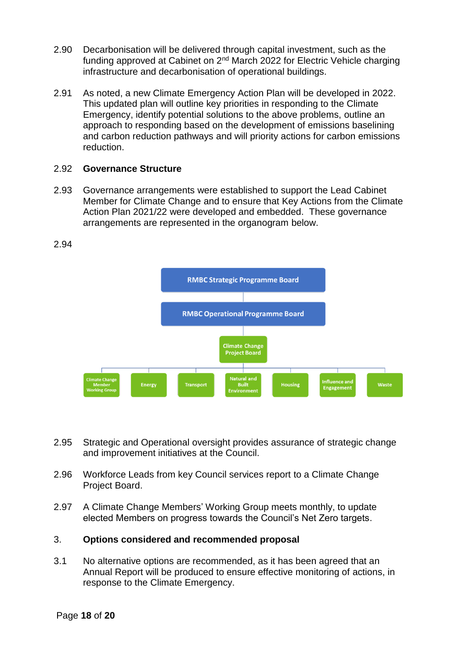- 2.90 Decarbonisation will be delivered through capital investment, such as the funding approved at Cabinet on 2nd March 2022 for Electric Vehicle charging infrastructure and decarbonisation of operational buildings.
- 2.91 As noted, a new Climate Emergency Action Plan will be developed in 2022. This updated plan will outline key priorities in responding to the Climate Emergency, identify potential solutions to the above problems, outline an approach to responding based on the development of emissions baselining and carbon reduction pathways and will priority actions for carbon emissions reduction.

#### 2.92 **Governance Structure**

2.93 Governance arrangements were established to support the Lead Cabinet Member for Climate Change and to ensure that Key Actions from the Climate Action Plan 2021/22 were developed and embedded. These governance arrangements are represented in the organogram below.



2.94

- 2.95 Strategic and Operational oversight provides assurance of strategic change and improvement initiatives at the Council.
- 2.96 Workforce Leads from key Council services report to a Climate Change Project Board.
- 2.97 A Climate Change Members' Working Group meets monthly, to update elected Members on progress towards the Council's Net Zero targets.

## 3. **Options considered and recommended proposal**

3.1 No alternative options are recommended, as it has been agreed that an Annual Report will be produced to ensure effective monitoring of actions, in response to the Climate Emergency.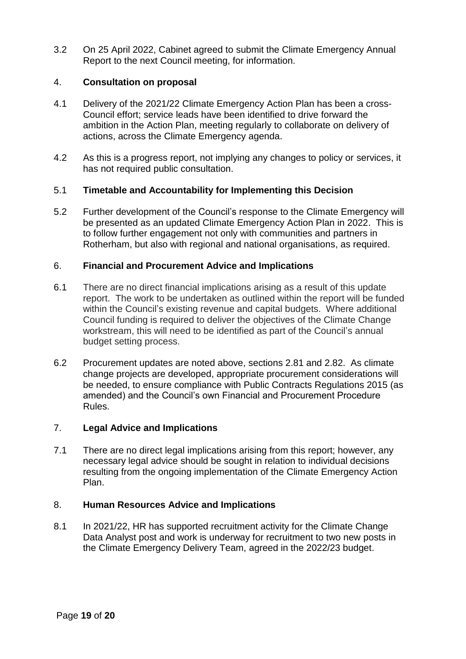3.2 On 25 April 2022, Cabinet agreed to submit the Climate Emergency Annual Report to the next Council meeting, for information.

## 4. **Consultation on proposal**

- 4.1 Delivery of the 2021/22 Climate Emergency Action Plan has been a cross-Council effort; service leads have been identified to drive forward the ambition in the Action Plan, meeting regularly to collaborate on delivery of actions, across the Climate Emergency agenda.
- 4.2 As this is a progress report, not implying any changes to policy or services, it has not required public consultation.

## 5.1 **Timetable and Accountability for Implementing this Decision**

5.2 Further development of the Council's response to the Climate Emergency will be presented as an updated Climate Emergency Action Plan in 2022. This is to follow further engagement not only with communities and partners in Rotherham, but also with regional and national organisations, as required.

## 6. **Financial and Procurement Advice and Implications**

- 6.1 There are no direct financial implications arising as a result of this update report. The work to be undertaken as outlined within the report will be funded within the Council's existing revenue and capital budgets. Where additional Council funding is required to deliver the objectives of the Climate Change workstream, this will need to be identified as part of the Council's annual budget setting process.
- 6.2 Procurement updates are noted above, sections 2.81 and 2.82. As climate change projects are developed, appropriate procurement considerations will be needed, to ensure compliance with Public Contracts Regulations 2015 (as amended) and the Council's own Financial and Procurement Procedure Rules.

## 7. **Legal Advice and Implications**

7.1 There are no direct legal implications arising from this report; however, any necessary legal advice should be sought in relation to individual decisions resulting from the ongoing implementation of the Climate Emergency Action Plan.

## 8. **Human Resources Advice and Implications**

8.1 In 2021/22, HR has supported recruitment activity for the Climate Change Data Analyst post and work is underway for recruitment to two new posts in the Climate Emergency Delivery Team, agreed in the 2022/23 budget.